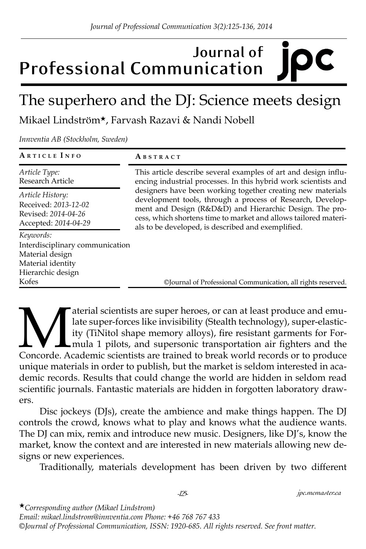# **Journal of Professional Communication**

# The superhero and the DJ: Science meets design

Mikael Lindström★, Farvash Razavi & Nandi Nobell

*Innventia AB (Stockholm, Sweden)*

| ARTICLE INFO                                                                                                       | ABSTRACT                                                                                                                                                                                                                                                                                                                                                                                                                                                                                                            |
|--------------------------------------------------------------------------------------------------------------------|---------------------------------------------------------------------------------------------------------------------------------------------------------------------------------------------------------------------------------------------------------------------------------------------------------------------------------------------------------------------------------------------------------------------------------------------------------------------------------------------------------------------|
| Article Type:<br>Research Article                                                                                  | This article describe several examples of art and design influ-<br>encing industrial processes. In this hybrid work scientists and<br>designers have been working together creating new materials<br>development tools, through a process of Research, Develop-<br>ment and Design (R&D&D) and Hierarchic Design. The pro-<br>cess, which shortens time to market and allows tailored materi-<br>als to be developed, is described and exemplified.<br>©Journal of Professional Communication, all rights reserved. |
| Article History:<br>Received: 2013-12-02<br>Revised: 2014-04-26<br>Accepted: 2014-04-29                            |                                                                                                                                                                                                                                                                                                                                                                                                                                                                                                                     |
| Keywords:<br>Interdisciplinary communication<br>Material design<br>Material identity<br>Hierarchic design<br>Kofes |                                                                                                                                                                                                                                                                                                                                                                                                                                                                                                                     |

aterial scientists are super heroes, or can at least produce and emu-<br>late super-forces like invisibility (Stealth technology), super-elastic-<br>ity (TiNitol shape memory alloys), fire resistant garments for For-<br>mula 1 pilo late super-forces like invisibility (Stealth technology), super-elasticity (TiNitol shape memory alloys), fire resistant garments for Formula 1 pilots, and supersonic transportation air fighters and the Concorde. Academic scientists are trained to break world records or to produce unique materials in order to publish, but the market is seldom interested in academic records. Results that could change the world are hidden in seldom read scientific journals. Fantastic materials are hidden in forgotten laboratory drawers.

Disc jockeys (DJs), create the ambience and make things happen. The DJ controls the crowd, knows what to play and knows what the audience wants. The DJ can mix, remix and introduce new music. Designers, like DJ's, know the market, know the context and are interested in new materials allowing new designs or new experiences.

Traditionally, materials development has been driven by two different

*-125- jpc.mcmaster.ca*

★*Corresponding author (Mikael Lindstrom)* 

*Email: mikael.lindstrom@innventia.com Phone: +46 768 767 433 ©Journal of Professional Communication, ISSN: 1920-685. All rights reserved. See front matter.*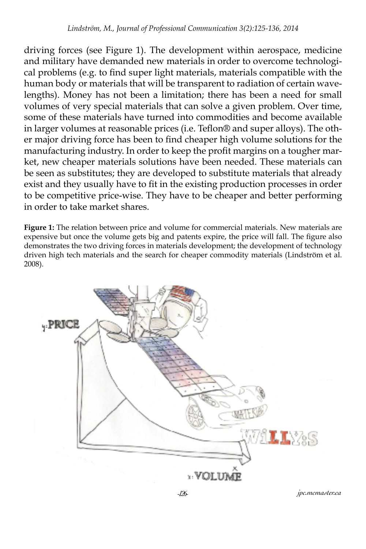driving forces (see Figure 1). The development within aerospace, medicine and military have demanded new materials in order to overcome technological problems (e.g. to find super light materials, materials compatible with the human body or materials that will be transparent to radiation of certain wavelengths). Money has not been a limitation; there has been a need for small volumes of very special materials that can solve a given problem. Over time, some of these materials have turned into commodities and become available in larger volumes at reasonable prices (i.e. Teflon® and super alloys). The other major driving force has been to find cheaper high volume solutions for the manufacturing industry. In order to keep the profit margins on a tougher market, new cheaper materials solutions have been needed. These materials can be seen as substitutes; they are developed to substitute materials that already exist and they usually have to fit in the existing production processes in order to be competitive price-wise. They have to be cheaper and better performing in order to take market shares.

**Figure 1:** The relation between price and volume for commercial materials. New materials are expensive but once the volume gets big and patents expire, the price will fall. The figure also demonstrates the two driving forces in materials development; the development of technology driven high tech materials and the search for cheaper commodity materials (Lindström et al. 2008).



*-126- jpc.mcmaster.ca*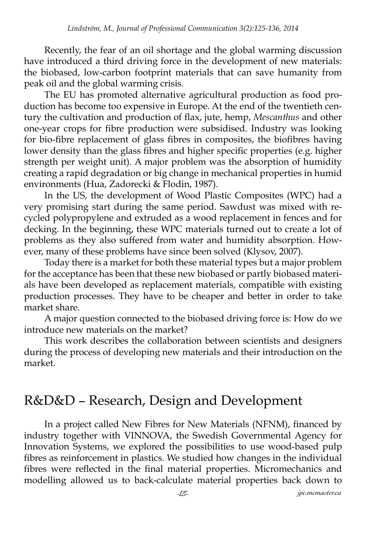Recently, the fear of an oil shortage and the global warming discussion have introduced a third driving force in the development of new materials: the biobased, low-carbon footprint materials that can save humanity from peak oil and the global warming crisis.

The EU has promoted alternative agricultural production as food production has become too expensive in Europe. At the end of the twentieth century the cultivation and production of flax, jute, hemp, *Mescanthus* and other one-year crops for fibre production were subsidised. Industry was looking for bio-fibre replacement of glass fibres in composites, the biofibres having lower density than the glass fibres and higher specific properties (e.g. higher strength per weight unit). A major problem was the absorption of humidity creating a rapid degradation or big change in mechanical properties in humid environments (Hua, Zadorecki & Flodin, 1987).

In the US, the development of Wood Plastic Composites (WPC) had a very promising start during the same period. Sawdust was mixed with recycled polypropylene and extruded as a wood replacement in fences and for decking. In the beginning, these WPC materials turned out to create a lot of problems as they also suffered from water and humidity absorption. However, many of these problems have since been solved (Klysov, 2007).

Today there is a market for both these material types but a major problem for the acceptance has been that these new biobased or partly biobased materials have been developed as replacement materials, compatible with existing production processes. They have to be cheaper and better in order to take market share.

A major question connected to the biobased driving force is: How do we introduce new materials on the market?

This work describes the collaboration between scientists and designers during the process of developing new materials and their introduction on the market.

### R&D&D – Research, Design and Development

In a project called New Fibres for New Materials (NFNM), financed by industry together with VINNOVA, the Swedish Governmental Agency for Innovation Systems, we explored the possibilities to use wood-based pulp fibres as reinforcement in plastics. We studied how changes in the individual fibres were reflected in the final material properties. Micromechanics and modelling allowed us to back-calculate material properties back down to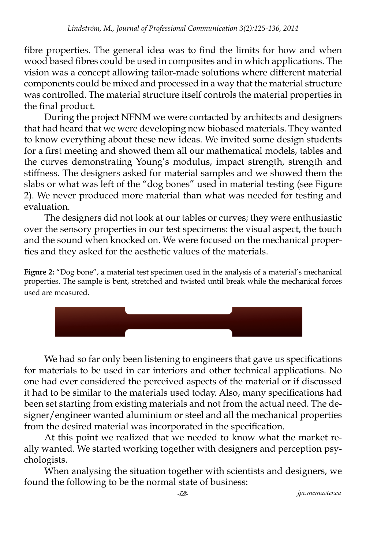fibre properties. The general idea was to find the limits for how and when wood based fibres could be used in composites and in which applications. The vision was a concept allowing tailor-made solutions where different material components could be mixed and processed in a way that the material structure was controlled. The material structure itself controls the material properties in the final product.

During the project NFNM we were contacted by architects and designers that had heard that we were developing new biobased materials. They wanted to know everything about these new ideas. We invited some design students for a first meeting and showed them all our mathematical models, tables and the curves demonstrating Young's modulus, impact strength, strength and stiffness. The designers asked for material samples and we showed them the slabs or what was left of the "dog bones" used in material testing (see Figure 2). We never produced more material than what was needed for testing and evaluation.

The designers did not look at our tables or curves; they were enthusiastic over the sensory properties in our test specimens: the visual aspect, the touch and the sound when knocked on. We were focused on the mechanical properties and they asked for the aesthetic values of the materials.

**Figure 2:** "Dog bone", a material test specimen used in the analysis of a material's mechanical properties. The sample is bent, stretched and twisted until break while the mechanical forces used are measured.



We had so far only been listening to engineers that gave us specifications for materials to be used in car interiors and other technical applications. No one had ever considered the perceived aspects of the material or if discussed it had to be similar to the materials used today. Also, many specifications had been set starting from existing materials and not from the actual need. The designer/engineer wanted aluminium or steel and all the mechanical properties from the desired material was incorporated in the specification.

At this point we realized that we needed to know what the market really wanted. We started working together with designers and perception psychologists.

When analysing the situation together with scientists and designers, we found the following to be the normal state of business: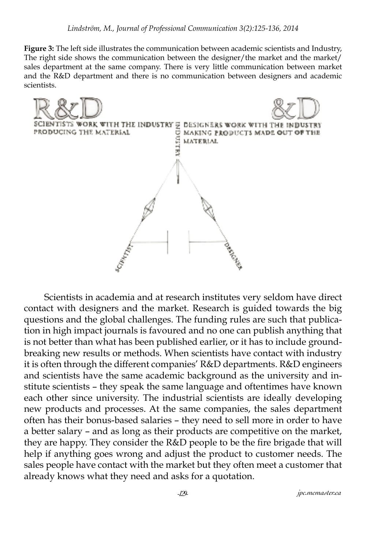**Figure 3:** The left side illustrates the communication between academic scientists and Industry, The right side shows the communication between the designer/the market and the market/ sales department at the same company. There is very little communication between market and the R&D department and there is no communication between designers and academic scientists.



Scientists in academia and at research institutes very seldom have direct contact with designers and the market. Research is guided towards the big questions and the global challenges. The funding rules are such that publication in high impact journals is favoured and no one can publish anything that is not better than what has been published earlier, or it has to include groundbreaking new results or methods. When scientists have contact with industry it is often through the different companies' R&D departments. R&D engineers and scientists have the same academic background as the university and institute scientists – they speak the same language and oftentimes have known each other since university. The industrial scientists are ideally developing new products and processes. At the same companies, the sales department often has their bonus-based salaries – they need to sell more in order to have a better salary – and as long as their products are competitive on the market, they are happy. They consider the R&D people to be the fire brigade that will help if anything goes wrong and adjust the product to customer needs. The sales people have contact with the market but they often meet a customer that already knows what they need and asks for a quotation.

*-129- jpc.mcmaster.ca*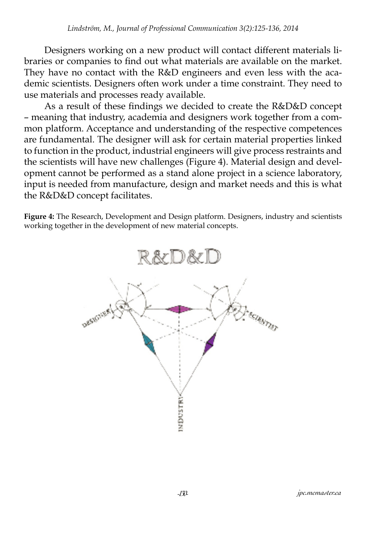Designers working on a new product will contact different materials libraries or companies to find out what materials are available on the market. They have no contact with the R&D engineers and even less with the academic scientists. Designers often work under a time constraint. They need to use materials and processes ready available.

As a result of these findings we decided to create the R&D&D concept – meaning that industry, academia and designers work together from a common platform. Acceptance and understanding of the respective competences are fundamental. The designer will ask for certain material properties linked to function in the product, industrial engineers will give process restraints and the scientists will have new challenges (Figure 4). Material design and development cannot be performed as a stand alone project in a science laboratory, input is needed from manufacture, design and market needs and this is what the R&D&D concept facilitates.

**Figure 4:** The Research, Development and Design platform. Designers, industry and scientists working together in the development of new material concepts.

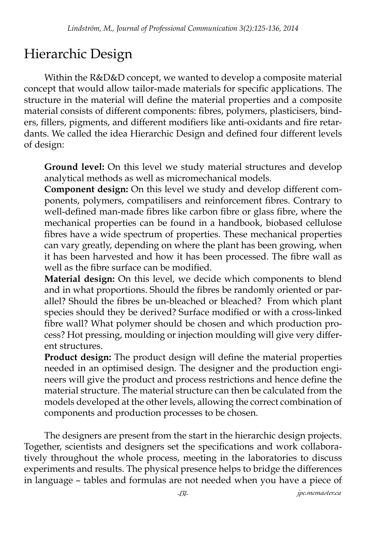# Hierarchic Design

Within the R&D&D concept, we wanted to develop a composite material concept that would allow tailor-made materials for specific applications. The structure in the material will define the material properties and a composite material consists of different components: fibres, polymers, plasticisers, binders, fillers, pigments, and different modifiers like anti-oxidants and fire retardants. We called the idea Hierarchic Design and defined four different levels of design:

**Ground level:** On this level we study material structures and develop analytical methods as well as micromechanical models.

**Component design:** On this level we study and develop different components, polymers, compatilisers and reinforcement fibres. Contrary to well-defined man-made fibres like carbon fibre or glass fibre, where the mechanical properties can be found in a handbook, biobased cellulose fibres have a wide spectrum of properties. These mechanical properties can vary greatly, depending on where the plant has been growing, when it has been harvested and how it has been processed. The fibre wall as well as the fibre surface can be modified.

**Material design:** On this level, we decide which components to blend and in what proportions. Should the fibres be randomly oriented or parallel? Should the fibres be un-bleached or bleached? From which plant species should they be derived? Surface modified or with a cross-linked fibre wall? What polymer should be chosen and which production process? Hot pressing, moulding or injection moulding will give very different structures.

**Product design:** The product design will define the material properties needed in an optimised design. The designer and the production engineers will give the product and process restrictions and hence define the material structure. The material structure can then be calculated from the models developed at the other levels, allowing the correct combination of components and production processes to be chosen.

The designers are present from the start in the hierarchic design projects. Together, scientists and designers set the specifications and work collaboratively throughout the whole process, meeting in the laboratories to discuss experiments and results. The physical presence helps to bridge the differences in language – tables and formulas are not needed when you have a piece of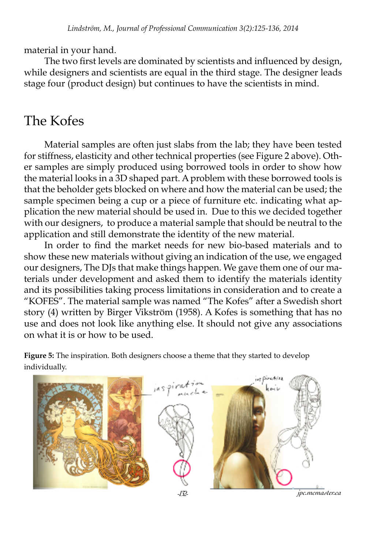material in your hand.

The two first levels are dominated by scientists and influenced by design, while designers and scientists are equal in the third stage. The designer leads stage four (product design) but continues to have the scientists in mind.

### The Kofes

Material samples are often just slabs from the lab; they have been tested for stiffness, elasticity and other technical properties (see Figure 2 above). Other samples are simply produced using borrowed tools in order to show how the material looks in a 3D shaped part. A problem with these borrowed tools is that the beholder gets blocked on where and how the material can be used; the sample specimen being a cup or a piece of furniture etc. indicating what application the new material should be used in. Due to this we decided together with our designers, to produce a material sample that should be neutral to the application and still demonstrate the identity of the new material.

In order to find the market needs for new bio-based materials and to show these new materials without giving an indication of the use, we engaged our designers, The DJs that make things happen. We gave them one of our materials under development and asked them to identify the materials identity and its possibilities taking process limitations in consideration and to create a "KOFES". The material sample was named "The Kofes" after a Swedish short story (4) written by Birger Vikström (1958). A Kofes is something that has no use and does not look like anything else. It should not give any associations on what it is or how to be used.

**Figure 5:** The inspiration. Both designers choose a theme that they started to develop individually.

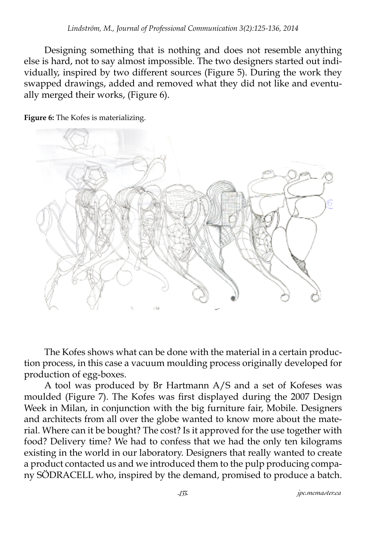Designing something that is nothing and does not resemble anything else is hard, not to say almost impossible. The two designers started out individually, inspired by two different sources (Figure 5). During the work they swapped drawings, added and removed what they did not like and eventually merged their works, (Figure 6).

**Figure 6:** The Kofes is materializing.



The Kofes shows what can be done with the material in a certain production process, in this case a vacuum moulding process originally developed for production of egg-boxes.

A tool was produced by Br Hartmann A/S and a set of Kofeses was moulded (Figure 7). The Kofes was first displayed during the 2007 Design Week in Milan, in conjunction with the big furniture fair, Mobile. Designers and architects from all over the globe wanted to know more about the material. Where can it be bought? The cost? Is it approved for the use together with food? Delivery time? We had to confess that we had the only ten kilograms existing in the world in our laboratory. Designers that really wanted to create a product contacted us and we introduced them to the pulp producing company SÖDRACELL who, inspired by the demand, promised to produce a batch.

*-133- jpc.mcmaster.ca*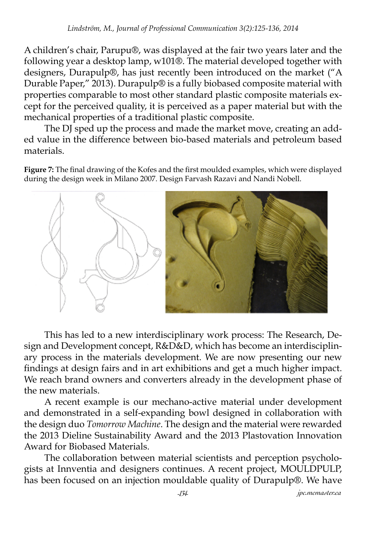A children's chair, Parupu®, was displayed at the fair two years later and the following year a desktop lamp, w101®. The material developed together with designers, Durapulp®, has just recently been introduced on the market ("A Durable Paper," 2013). Durapulp® is a fully biobased composite material with properties comparable to most other standard plastic composite materials except for the perceived quality, it is perceived as a paper material but with the mechanical properties of a traditional plastic composite.

The DJ sped up the process and made the market move, creating an added value in the difference between bio-based materials and petroleum based materials.

**Figure 7:** The final drawing of the Kofes and the first moulded examples, which were displayed during the design week in Milano 2007. Design Farvash Razavi and Nandi Nobell.



This has led to a new interdisciplinary work process: The Research, Design and Development concept, R&D&D, which has become an interdisciplinary process in the materials development. We are now presenting our new findings at design fairs and in art exhibitions and get a much higher impact. We reach brand owners and converters already in the development phase of the new materials.

A recent example is our mechano-active material under development and demonstrated in a self-expanding bowl designed in collaboration with the design duo *Tomorrow Machine*. The design and the material were rewarded the 2013 Dieline Sustainability Award and the 2013 Plastovation Innovation Award for Biobased Materials.

The collaboration between material scientists and perception psychologists at Innventia and designers continues. A recent project, MOULDPULP, has been focused on an injection mouldable quality of Durapulp®. We have

*-134- jpc.mcmaster.ca*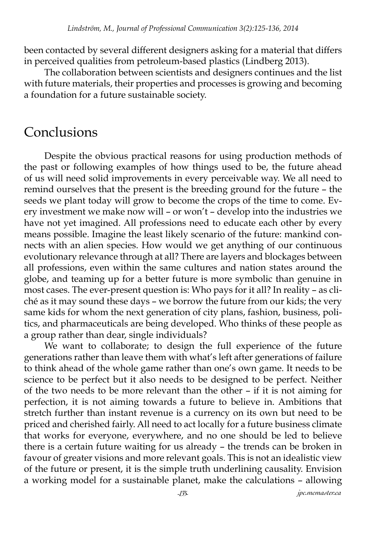been contacted by several different designers asking for a material that differs in perceived qualities from petroleum-based plastics (Lindberg 2013).

The collaboration between scientists and designers continues and the list with future materials, their properties and processes is growing and becoming a foundation for a future sustainable society.

#### Conclusions

Despite the obvious practical reasons for using production methods of the past or following examples of how things used to be, the future ahead of us will need solid improvements in every perceivable way. We all need to remind ourselves that the present is the breeding ground for the future – the seeds we plant today will grow to become the crops of the time to come. Every investment we make now will – or won't – develop into the industries we have not yet imagined. All professions need to educate each other by every means possible. Imagine the least likely scenario of the future: mankind connects with an alien species. How would we get anything of our continuous evolutionary relevance through at all? There are layers and blockages between all professions, even within the same cultures and nation states around the globe, and teaming up for a better future is more symbolic than genuine in most cases. The ever-present question is: Who pays for it all? In reality – as cliché as it may sound these days – we borrow the future from our kids; the very same kids for whom the next generation of city plans, fashion, business, politics, and pharmaceuticals are being developed. Who thinks of these people as a group rather than dear, single individuals?

We want to collaborate; to design the full experience of the future generations rather than leave them with what's left after generations of failure to think ahead of the whole game rather than one's own game. It needs to be science to be perfect but it also needs to be designed to be perfect. Neither of the two needs to be more relevant than the other – if it is not aiming for perfection, it is not aiming towards a future to believe in. Ambitions that stretch further than instant revenue is a currency on its own but need to be priced and cherished fairly. All need to act locally for a future business climate that works for everyone, everywhere, and no one should be led to believe there is a certain future waiting for us already – the trends can be broken in favour of greater visions and more relevant goals. This is not an idealistic view of the future or present, it is the simple truth underlining causality. Envision a working model for a sustainable planet, make the calculations – allowing

*-135- jpc.mcmaster.ca*